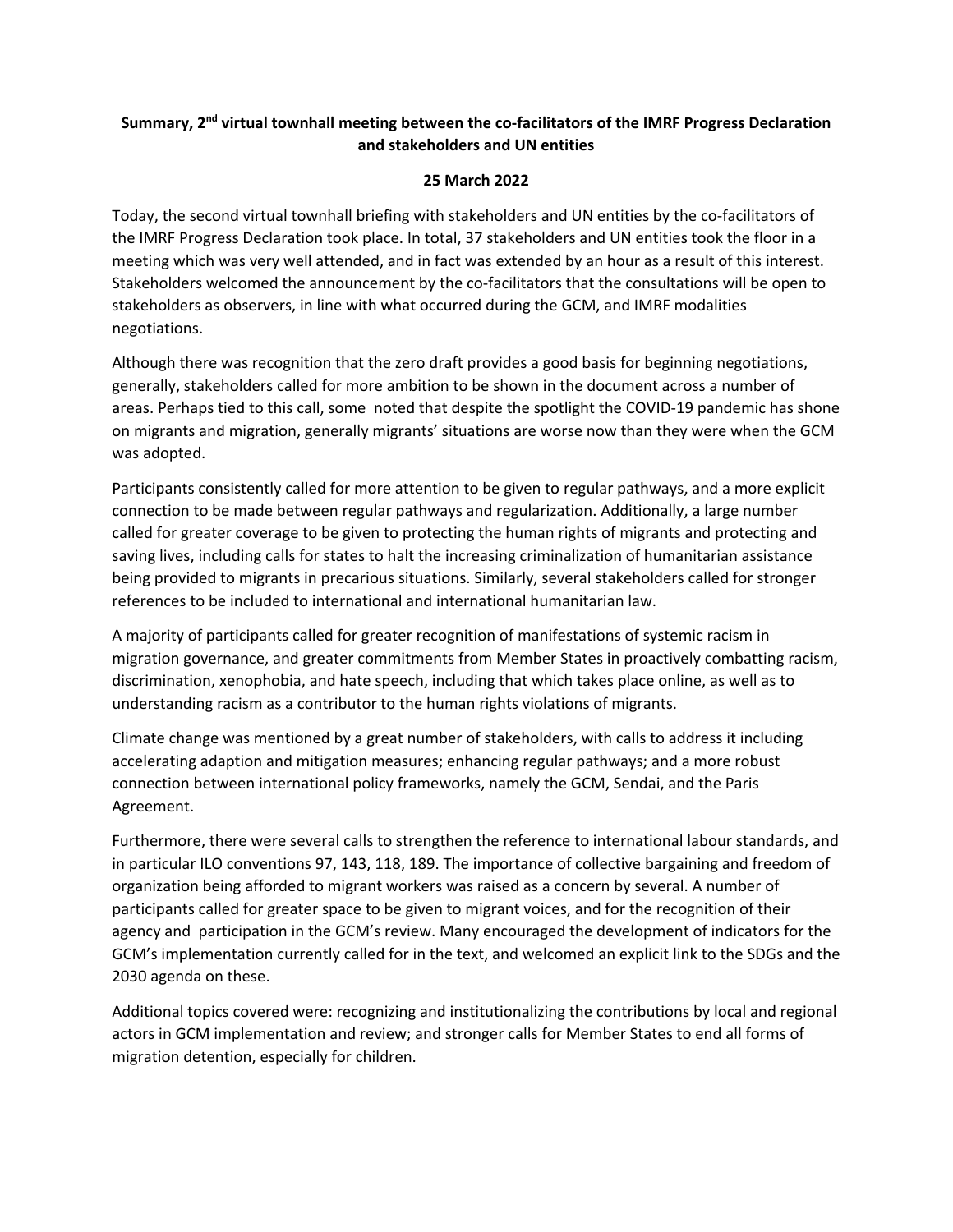## **Summary, 2nd virtual townhall meeting between the co-facilitators of the IMRF Progress Declaration and stakeholders and UN entities**

## **25 March 2022**

Today, the second virtual townhall briefing with stakeholders and UN entities by the co-facilitators of the IMRF Progress Declaration took place. In total, 37 stakeholders and UN entities took the floor in a meeting which was very well attended, and in fact was extended by an hour as a result of this interest. Stakeholders welcomed the announcement by the co-facilitators that the consultations will be open to stakeholders as observers, in line with what occurred during the GCM, and IMRF modalities negotiations.

Although there was recognition that the zero draft provides a good basis for beginning negotiations, generally, stakeholders called for more ambition to be shown in the document across a number of areas. Perhaps tied to this call, some noted that despite the spotlight the COVID-19 pandemic has shone on migrants and migration, generally migrants' situations are worse now than they were when the GCM was adopted.

Participants consistently called for more attention to be given to regular pathways, and a more explicit connection to be made between regular pathways and regularization. Additionally, a large number called for greater coverage to be given to protecting the human rights of migrants and protecting and saving lives, including calls for states to halt the increasing criminalization of humanitarian assistance being provided to migrants in precarious situations. Similarly, several stakeholders called for stronger references to be included to international and international humanitarian law.

A majority of participants called for greater recognition of manifestations of systemic racism in migration governance, and greater commitments from Member States in proactively combatting racism, discrimination, xenophobia, and hate speech, including that which takes place online, as well as to understanding racism as a contributor to the human rights violations of migrants.

Climate change was mentioned by a great number of stakeholders, with calls to address it including accelerating adaption and mitigation measures; enhancing regular pathways; and a more robust connection between international policy frameworks, namely the GCM, Sendai, and the Paris Agreement.

Furthermore, there were several calls to strengthen the reference to international labour standards, and in particular ILO conventions 97, 143, 118, 189. The importance of collective bargaining and freedom of organization being afforded to migrant workers was raised as a concern by several. A number of participants called for greater space to be given to migrant voices, and for the recognition of their agency and participation in the GCM's review. Many encouraged the development of indicators for the GCM's implementation currently called for in the text, and welcomed an explicit link to the SDGs and the 2030 agenda on these.

Additional topics covered were: recognizing and institutionalizing the contributions by local and regional actors in GCM implementation and review; and stronger calls for Member States to end all forms of migration detention, especially for children.